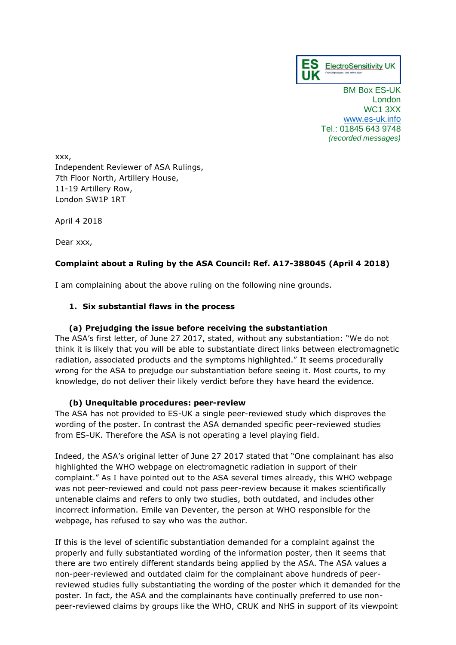

BM Box ES-UK London WC1 3XX [www.es-uk.info](http://www.es-uk.info/) Tel.: 01845 643 9748 *(recorded messages)*

xxx, Independent Reviewer of ASA Rulings, 7th Floor North, Artillery House, 11-19 Artillery Row, London SW1P 1RT

April 4 2018

Dear xxx,

## **Complaint about a Ruling by the ASA Council: Ref. A17-388045 (April 4 2018)**

I am complaining about the above ruling on the following nine grounds.

### **1. Six substantial flaws in the process**

### **(a) Prejudging the issue before receiving the substantiation**

The ASA's first letter, of June 27 2017, stated, without any substantiation: "We do not think it is likely that you will be able to substantiate direct links between electromagnetic radiation, associated products and the symptoms highlighted." It seems procedurally wrong for the ASA to prejudge our substantiation before seeing it. Most courts, to my knowledge, do not deliver their likely verdict before they have heard the evidence.

### **(b) Unequitable procedures: peer-review**

The ASA has not provided to ES-UK a single peer-reviewed study which disproves the wording of the poster. In contrast the ASA demanded specific peer-reviewed studies from ES-UK. Therefore the ASA is not operating a level playing field.

Indeed, the ASA's original letter of June 27 2017 stated that "One complainant has also highlighted the WHO webpage on electromagnetic radiation in support of their complaint." As I have pointed out to the ASA several times already, this WHO webpage was not peer-reviewed and could not pass peer-review because it makes scientifically untenable claims and refers to only two studies, both outdated, and includes other incorrect information. Emile van Deventer, the person at WHO responsible for the webpage, has refused to say who was the author.

If this is the level of scientific substantiation demanded for a complaint against the properly and fully substantiated wording of the information poster, then it seems that there are two entirely different standards being applied by the ASA. The ASA values a non-peer-reviewed and outdated claim for the complainant above hundreds of peerreviewed studies fully substantiating the wording of the poster which it demanded for the poster. In fact, the ASA and the complainants have continually preferred to use nonpeer-reviewed claims by groups like the WHO, CRUK and NHS in support of its viewpoint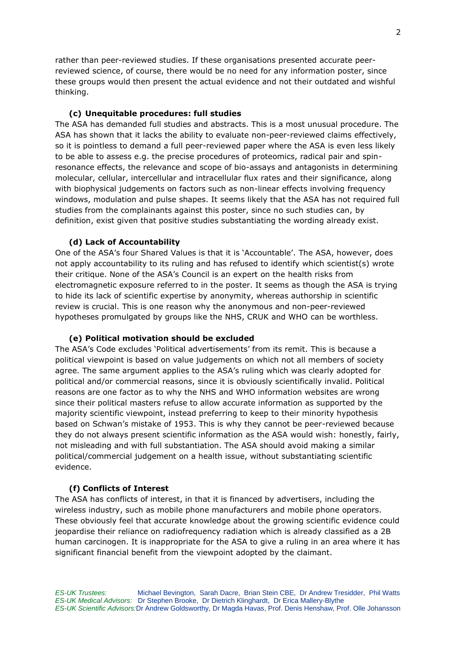rather than peer-reviewed studies. If these organisations presented accurate peerreviewed science, of course, there would be no need for any information poster, since these groups would then present the actual evidence and not their outdated and wishful thinking.

#### **(c) Unequitable procedures: full studies**

The ASA has demanded full studies and abstracts. This is a most unusual procedure. The ASA has shown that it lacks the ability to evaluate non-peer-reviewed claims effectively, so it is pointless to demand a full peer-reviewed paper where the ASA is even less likely to be able to assess e.g. the precise procedures of proteomics, radical pair and spinresonance effects, the relevance and scope of bio-assays and antagonists in determining molecular, cellular, intercellular and intracellular flux rates and their significance, along with biophysical judgements on factors such as non-linear effects involving frequency windows, modulation and pulse shapes. It seems likely that the ASA has not required full studies from the complainants against this poster, since no such studies can, by definition, exist given that positive studies substantiating the wording already exist.

#### **(d) Lack of Accountability**

One of the ASA's four Shared Values is that it is 'Accountable'. The ASA, however, does not apply accountability to its ruling and has refused to identify which scientist(s) wrote their critique. None of the ASA's Council is an expert on the health risks from electromagnetic exposure referred to in the poster. It seems as though the ASA is trying to hide its lack of scientific expertise by anonymity, whereas authorship in scientific review is crucial. This is one reason why the anonymous and non-peer-reviewed hypotheses promulgated by groups like the NHS, CRUK and WHO can be worthless.

#### **(e) Political motivation should be excluded**

The ASA's Code excludes 'Political advertisements' from its remit. This is because a political viewpoint is based on value judgements on which not all members of society agree. The same argument applies to the ASA's ruling which was clearly adopted for political and/or commercial reasons, since it is obviously scientifically invalid. Political reasons are one factor as to why the NHS and WHO information websites are wrong since their political masters refuse to allow accurate information as supported by the majority scientific viewpoint, instead preferring to keep to their minority hypothesis based on Schwan's mistake of 1953. This is why they cannot be peer-reviewed because they do not always present scientific information as the ASA would wish: honestly, fairly, not misleading and with full substantiation. The ASA should avoid making a similar political/commercial judgement on a health issue, without substantiating scientific evidence.

### **(f) Conflicts of Interest**

The ASA has conflicts of interest, in that it is financed by advertisers, including the wireless industry, such as mobile phone manufacturers and mobile phone operators. These obviously feel that accurate knowledge about the growing scientific evidence could jeopardise their reliance on radiofrequency radiation which is already classified as a 2B human carcinogen. It is inappropriate for the ASA to give a ruling in an area where it has significant financial benefit from the viewpoint adopted by the claimant.